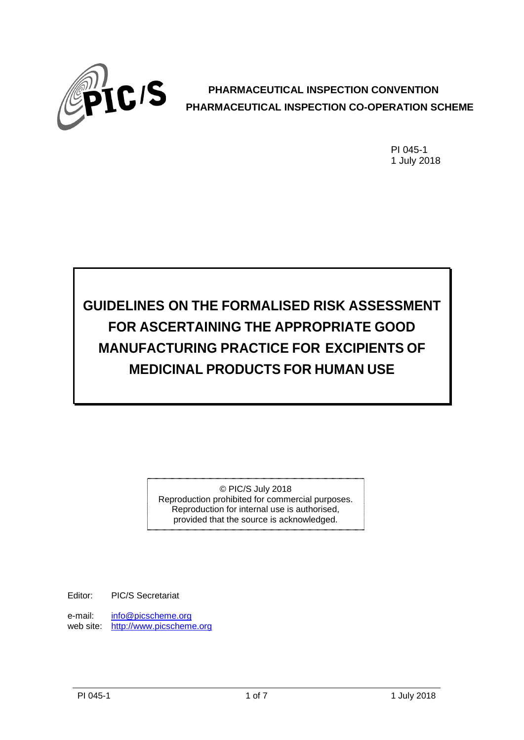

# **PHARMACEUTICAL INSPECTION CONVENTION PHARMACEUTICAL INSPECTION CO-OPERATION SCHEME**

PI 045-1 1 July 2018

**GUIDELINES ON THE FORMALISED RISK ASSESSMENT FOR ASCERTAINING THE APPROPRIATE GOOD MANUFACTURING PRACTICE FOR EXCIPIENTS OF MEDICINAL PRODUCTS FOR HUMAN USE**

> © PIC/S July 2018 Reproduction prohibited for commercial purposes. Reproduction for internal use is authorised, provided that the source is acknowledged.

Editor: PIC/S Secretariat

e-mail: [info@picscheme.org](mailto:info@picscheme.org) web site: http:/[/www.picscheme.org](http://www.picscheme.org/)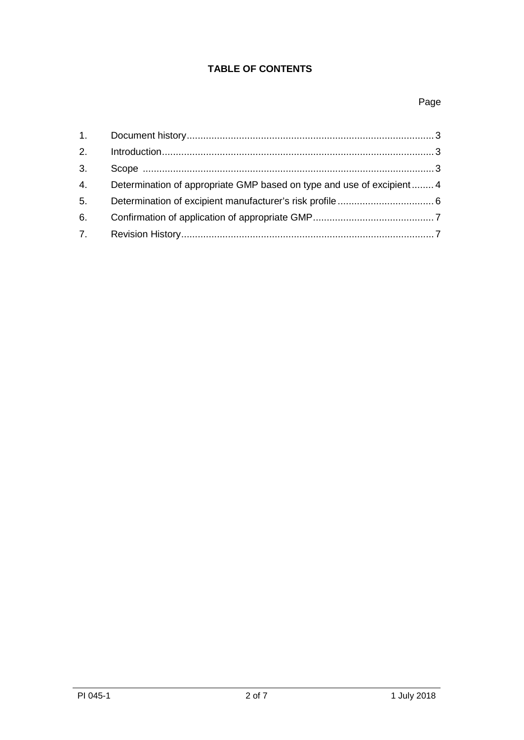# **TABLE OF CONTENTS**

# Page

| 2. |                                                                      |  |
|----|----------------------------------------------------------------------|--|
| 3. |                                                                      |  |
| 4. | Determination of appropriate GMP based on type and use of excipient4 |  |
| 5. |                                                                      |  |
| 6. |                                                                      |  |
|    |                                                                      |  |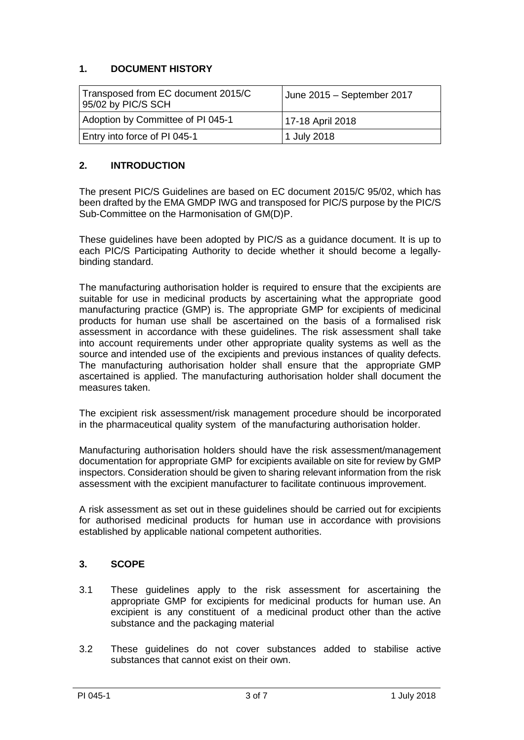## **1. DOCUMENT HISTORY**

| Transposed from EC document 2015/C<br>95/02 by PIC/S SCH | June 2015 - September 2017 |
|----------------------------------------------------------|----------------------------|
| Adoption by Committee of PI 045-1                        | 17-18 April 2018           |
| Entry into force of PI 045-1                             | 1 July 2018                |

### **2. INTRODUCTION**

The present PIC/S Guidelines are based on EC document 2015/C 95/02, which has been drafted by the EMA GMDP IWG and transposed for PIC/S purpose by the PIC/S Sub-Committee on the Harmonisation of GM(D)P.

These guidelines have been adopted by PIC/S as a guidance document. It is up to each PIC/S Participating Authority to decide whether it should become a legallybinding standard.

The manufacturing authorisation holder is required to ensure that the excipients are suitable for use in medicinal products by ascertaining what the appropriate good manufacturing practice (GMP) is. The appropriate GMP for excipients of medicinal products for human use shall be ascertained on the basis of a formalised risk assessment in accordance with these guidelines. The risk assessment shall take into account requirements under other appropriate quality systems as well as the source and intended use of the excipients and previous instances of quality defects. The manufacturing authorisation holder shall ensure that the appropriate GMP ascertained is applied. The manufacturing authorisation holder shall document the measures taken.

The excipient risk assessment/risk management procedure should be incorporated in the pharmaceutical quality system of the manufacturing authorisation holder.

Manufacturing authorisation holders should have the risk assessment/management documentation for appropriate GMP for excipients available on site for review by GMP inspectors. Consideration should be given to sharing relevant information from the risk assessment with the excipient manufacturer to facilitate continuous improvement.

A risk assessment as set out in these guidelines should be carried out for excipients for authorised medicinal products for human use in accordance with provisions established by applicable national competent authorities.

#### **3. SCOPE**

- 3.1 These guidelines apply to the risk assessment for ascertaining the appropriate GMP for excipients for medicinal products for human use. An excipient is any constituent of a medicinal product other than the active substance and the packaging material
- 3.2 These guidelines do not cover substances added to stabilise active substances that cannot exist on their own.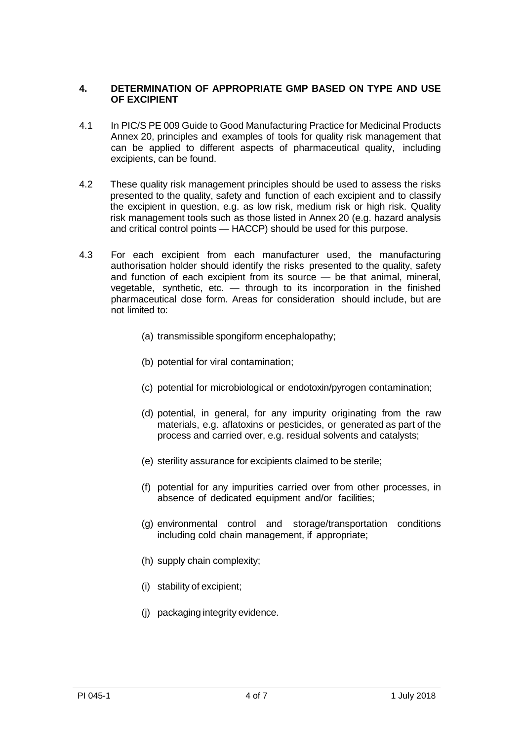#### **4. DETERMINATION OF APPROPRIATE GMP BASED ON TYPE AND USE OF EXCIPIENT**

- 4.1 In PIC/S PE 009 Guide to Good Manufacturing Practice for Medicinal Products Annex 20, principles and examples of tools for quality risk management that can be applied to different aspects of pharmaceutical quality, including excipients, can be found.
- 4.2 These quality risk management principles should be used to assess the risks presented to the quality, safety and function of each excipient and to classify the excipient in question, e.g. as low risk, medium risk or high risk. Quality risk management tools such as those listed in Annex 20 (e.g. hazard analysis and critical control points — HACCP) should be used for this purpose.
- 4.3 For each excipient from each manufacturer used, the manufacturing authorisation holder should identify the risks presented to the quality, safety and function of each excipient from its source — be that animal, mineral, vegetable, synthetic, etc.  $-$  through to its incorporation in the finished pharmaceutical dose form. Areas for consideration should include, but are not limited to:
	- (a) transmissible spongiform encephalopathy;
	- (b) potential for viral contamination;
	- (c) potential for microbiological or endotoxin/pyrogen contamination;
	- (d) potential, in general, for any impurity originating from the raw materials, e.g. aflatoxins or pesticides, or generated as part of the process and carried over, e.g. residual solvents and catalysts;
	- (e) sterility assurance for excipients claimed to be sterile;
	- (f) potential for any impurities carried over from other processes, in absence of dedicated equipment and/or facilities;
	- (g) environmental control and storage/transportation conditions including cold chain management, if appropriate;
	- (h) supply chain complexity;
	- (i) stability of excipient;
	- (j) packaging integrity evidence.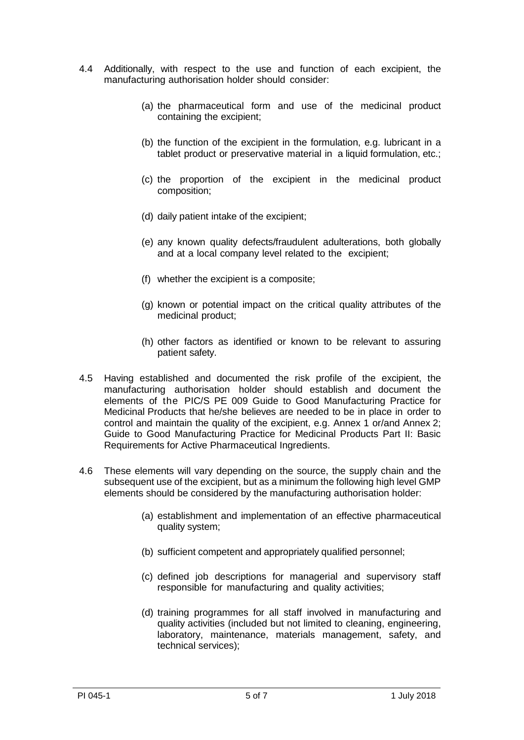- 4.4 Additionally, with respect to the use and function of each excipient, the manufacturing authorisation holder should consider:
	- (a) the pharmaceutical form and use of the medicinal product containing the excipient;
	- (b) the function of the excipient in the formulation, e.g. lubricant in a tablet product or preservative material in a liquid formulation, etc.:
	- (c) the proportion of the excipient in the medicinal product composition;
	- (d) daily patient intake of the excipient;
	- (e) any known quality defects/fraudulent adulterations, both globally and at a local company level related to the excipient;
	- (f) whether the excipient is a composite;
	- (g) known or potential impact on the critical quality attributes of the medicinal product;
	- (h) other factors as identified or known to be relevant to assuring patient safety.
- 4.5 Having established and documented the risk profile of the excipient, the manufacturing authorisation holder should establish and document the elements of the PIC/S PE 009 Guide to Good Manufacturing Practice for Medicinal Products that he/she believes are needed to be in place in order to control and maintain the quality of the excipient, e.g. Annex 1 or/and Annex 2; Guide to Good Manufacturing Practice for Medicinal Products Part II: Basic Requirements for Active Pharmaceutical Ingredients.
- 4.6 These elements will vary depending on the source, the supply chain and the subsequent use of the excipient, but as a minimum the following high level GMP elements should be considered by the manufacturing authorisation holder:
	- (a) establishment and implementation of an effective pharmaceutical quality system;
	- (b) sufficient competent and appropriately qualified personnel;
	- (c) defined job descriptions for managerial and supervisory staff responsible for manufacturing and quality activities;
	- (d) training programmes for all staff involved in manufacturing and quality activities (included but not limited to cleaning, engineering, laboratory, maintenance, materials management, safety, and technical services);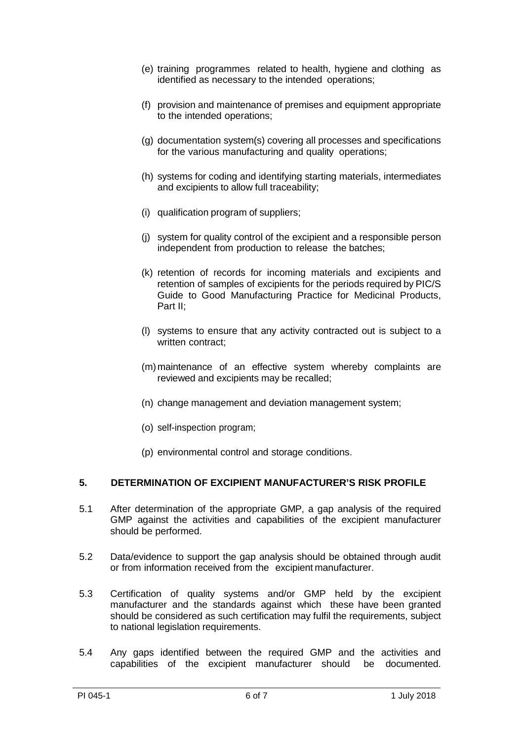- (e) training programmes related to health, hygiene and clothing as identified as necessary to the intended operations;
- (f) provision and maintenance of premises and equipment appropriate to the intended operations;
- (g) documentation system(s) covering all processes and specifications for the various manufacturing and quality operations;
- (h) systems for coding and identifying starting materials, intermediates and excipients to allow full traceability;
- (i) qualification program of suppliers;
- (j) system for quality control of the excipient and a responsible person independent from production to release the batches;
- (k) retention of records for incoming materials and excipients and retention of samples of excipients for the periods required by PIC/S Guide to Good Manufacturing Practice for Medicinal Products, Part II;
- (l) systems to ensure that any activity contracted out is subject to a written contract:
- (m)maintenance of an effective system whereby complaints are reviewed and excipients may be recalled;
- (n) change management and deviation management system;
- (o) self-inspection program;
- (p) environmental control and storage conditions.

#### **5. DETERMINATION OF EXCIPIENT MANUFACTURER'S RISK PROFILE**

- 5.1 After determination of the appropriate GMP, a gap analysis of the required GMP against the activities and capabilities of the excipient manufacturer should be performed.
- 5.2 Data/evidence to support the gap analysis should be obtained through audit or from information received from the excipient manufacturer.
- 5.3 Certification of quality systems and/or GMP held by the excipient manufacturer and the standards against which these have been granted should be considered as such certification may fulfil the requirements, subject to national legislation requirements.
- 5.4 Any gaps identified between the required GMP and the activities and capabilities of the excipient manufacturer should be documented.